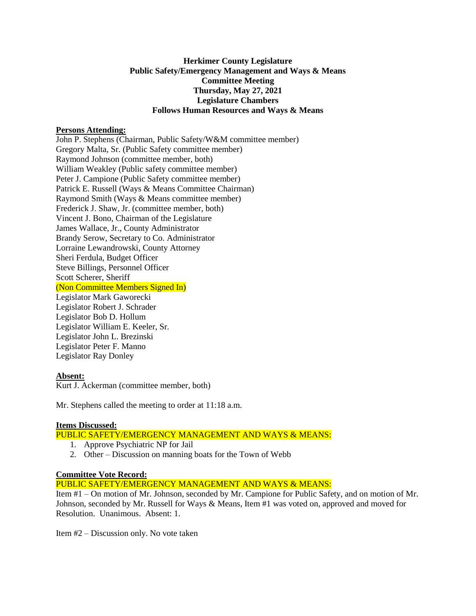# **Herkimer County Legislature Public Safety/Emergency Management and Ways & Means Committee Meeting Thursday, May 27, 2021 Legislature Chambers Follows Human Resources and Ways & Means**

#### **Persons Attending:**

John P. Stephens (Chairman, Public Safety/W&M committee member) Gregory Malta, Sr. (Public Safety committee member) Raymond Johnson (committee member, both) William Weakley (Public safety committee member) Peter J. Campione (Public Safety committee member) Patrick E. Russell (Ways & Means Committee Chairman) Raymond Smith (Ways & Means committee member) Frederick J. Shaw, Jr. (committee member, both) Vincent J. Bono, Chairman of the Legislature James Wallace, Jr., County Administrator Brandy Serow, Secretary to Co. Administrator Lorraine Lewandrowski, County Attorney Sheri Ferdula, Budget Officer Steve Billings, Personnel Officer Scott Scherer, Sheriff (Non Committee Members Signed In) Legislator Mark Gaworecki Legislator Robert J. Schrader Legislator Bob D. Hollum Legislator William E. Keeler, Sr. Legislator John L. Brezinski Legislator Peter F. Manno Legislator Ray Donley

#### **Absent:**

Kurt J. Ackerman (committee member, both)

Mr. Stephens called the meeting to order at 11:18 a.m.

## **Items Discussed:**

## PUBLIC SAFETY/EMERGENCY MANAGEMENT AND WAYS & MEANS:

- 1. Approve Psychiatric NP for Jail
- 2. Other Discussion on manning boats for the Town of Webb

# **Committee Vote Record:**

PUBLIC SAFETY/EMERGENCY MANAGEMENT AND WAYS & MEANS:

Item #1 – On motion of Mr. Johnson, seconded by Mr. Campione for Public Safety, and on motion of Mr. Johnson, seconded by Mr. Russell for Ways & Means, Item #1 was voted on, approved and moved for Resolution. Unanimous. Absent: 1.

Item #2 – Discussion only. No vote taken